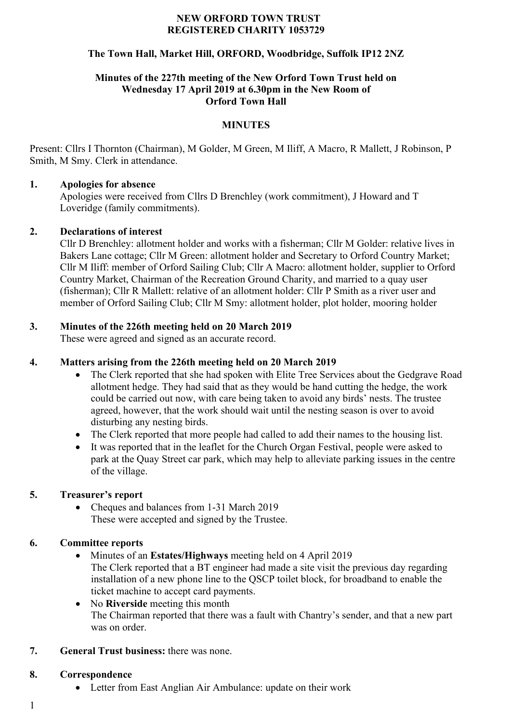#### **NEW ORFORD TOWN TRUST REGISTERED CHARITY 1053729**

# **The Town Hall, Market Hill, ORFORD, Woodbridge, Suffolk IP12 2NZ**

#### **Minutes of the 227th meeting of the New Orford Town Trust held on Wednesday 17 April 2019 at 6.30pm in the New Room of Orford Town Hall**

# **MINUTES**

Present: Cllrs I Thornton (Chairman), M Golder, M Green, M Iliff, A Macro, R Mallett, J Robinson, P Smith, M Smy. Clerk in attendance.

#### **1. Apologies for absence**

Apologies were received from Cllrs D Brenchley (work commitment), J Howard and T Loveridge (family commitments).

# **2. Declarations of interest**

Cllr D Brenchley: allotment holder and works with a fisherman; Cllr M Golder: relative lives in Bakers Lane cottage; Cllr M Green: allotment holder and Secretary to Orford Country Market; Cllr M Iliff: member of Orford Sailing Club; Cllr A Macro: allotment holder, supplier to Orford Country Market, Chairman of the Recreation Ground Charity, and married to a quay user (fisherman); Cllr R Mallett: relative of an allotment holder: Cllr P Smith as a river user and member of Orford Sailing Club; Cllr M Smy: allotment holder, plot holder, mooring holder

# **3. Minutes of the 226th meeting held on 20 March 2019**

These were agreed and signed as an accurate record.

# **4. Matters arising from the 226th meeting held on 20 March 2019**

- The Clerk reported that she had spoken with Elite Tree Services about the Gedgrave Road allotment hedge. They had said that as they would be hand cutting the hedge, the work could be carried out now, with care being taken to avoid any birds' nests. The trustee agreed, however, that the work should wait until the nesting season is over to avoid disturbing any nesting birds.
- The Clerk reported that more people had called to add their names to the housing list.
- It was reported that in the leaflet for the Church Organ Festival, people were asked to park at the Quay Street car park, which may help to alleviate parking issues in the centre of the village.

# **5. Treasurer's report**

• Cheques and balances from 1-31 March 2019 These were accepted and signed by the Trustee.

# **6. Committee reports**

• Minutes of an **Estates/Highways** meeting held on 4 April 2019

The Clerk reported that a BT engineer had made a site visit the previous day regarding installation of a new phone line to the QSCP toilet block, for broadband to enable the ticket machine to accept card payments.

- No **Riverside** meeting this month The Chairman reported that there was a fault with Chantry's sender, and that a new part was on order.
- **7. General Trust business:** there was none.

#### **8. Correspondence**

- Letter from East Anglian Air Ambulance: update on their work
- 1